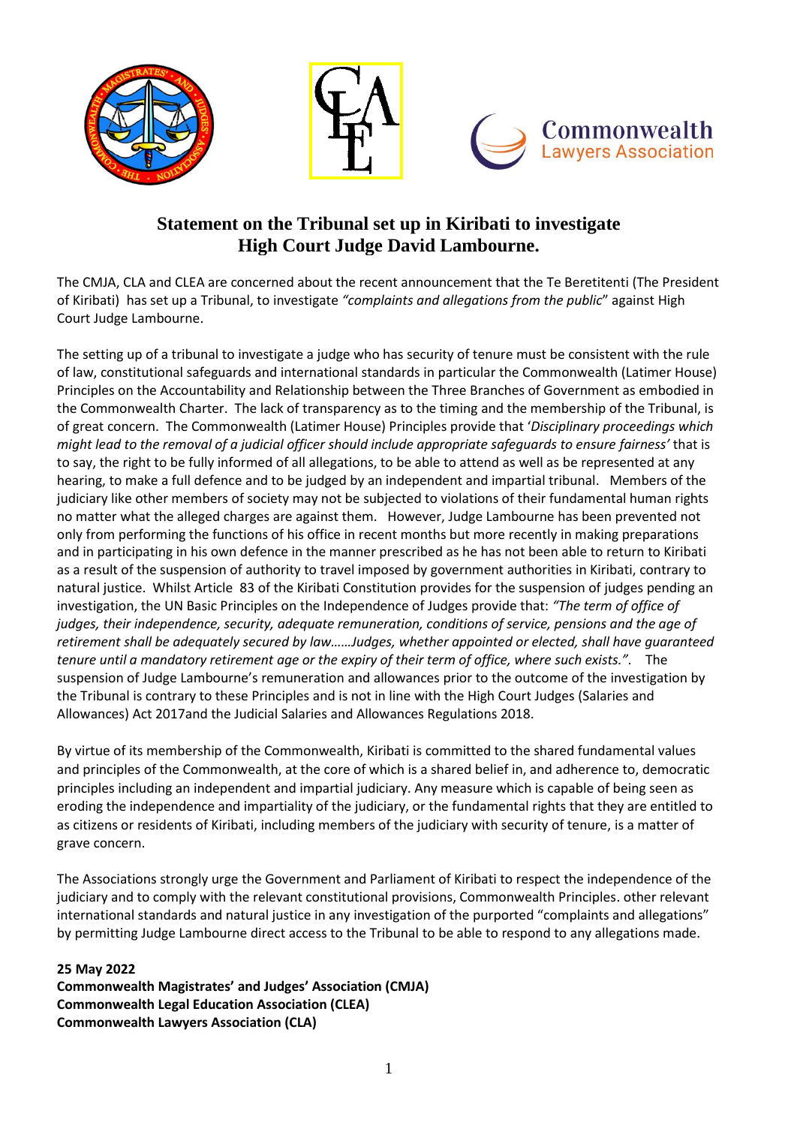

## **Statement on the Tribunal set up in Kiribati to investigate High Court Judge David Lambourne.**

The CMJA, CLA and CLEA are concerned about the recent announcement that the Te Beretitenti (The President of Kiribati) has set up a Tribunal, to investigate *"complaints and allegations from the public*" against High Court Judge Lambourne.

The setting up of a tribunal to investigate a judge who has security of tenure must be consistent with the rule of law, constitutional safeguards and international standards in particular the Commonwealth (Latimer House) Principles on the Accountability and Relationship between the Three Branches of Government as embodied in the Commonwealth Charter. The lack of transparency as to the timing and the membership of the Tribunal, is of great concern. The Commonwealth (Latimer House) Principles provide that '*Disciplinary proceedings which might lead to the removal of a judicial officer should include appropriate safeguards to ensure fairness'* that is to say, the right to be fully informed of all allegations, to be able to attend as well as be represented at any hearing, to make a full defence and to be judged by an independent and impartial tribunal. Members of the judiciary like other members of society may not be subjected to violations of their fundamental human rights no matter what the alleged charges are against them. However, Judge Lambourne has been prevented not only from performing the functions of his office in recent months but more recently in making preparations and in participating in his own defence in the manner prescribed as he has not been able to return to Kiribati as a result of the suspension of authority to travel imposed by government authorities in Kiribati, contrary to natural justice. Whilst Article 83 of the Kiribati Constitution provides for the suspension of judges pending an investigation, the UN Basic Principles on the Independence of Judges provide that: *"The term of office of judges, their independence, security, adequate remuneration, conditions of service, pensions and the age of retirement shall be adequately secured by law……Judges, whether appointed or elected, shall have guaranteed tenure until a mandatory retirement age or the expiry of their term of office, where such exists.".* The suspension of Judge Lambourne's remuneration and allowances prior to the outcome of the investigation by the Tribunal is contrary to these Principles and is not in line with the High Court Judges (Salaries and Allowances) Act 2017and the Judicial Salaries and Allowances Regulations 2018.

By virtue of its membership of the Commonwealth, Kiribati is committed to the shared fundamental values and principles of the Commonwealth, at the core of which is a shared belief in, and adherence to, democratic principles including an independent and impartial judiciary. Any measure which is capable of being seen as eroding the independence and impartiality of the judiciary, or the fundamental rights that they are entitled to as citizens or residents of Kiribati, including members of the judiciary with security of tenure, is a matter of grave concern.

The Associations strongly urge the Government and Parliament of Kiribati to respect the independence of the judiciary and to comply with the relevant constitutional provisions, Commonwealth Principles. other relevant international standards and natural justice in any investigation of the purported "complaints and allegations" by permitting Judge Lambourne direct access to the Tribunal to be able to respond to any allegations made.

## **25 May 2022**

**Commonwealth Magistrates' and Judges' Association (CMJA) Commonwealth Legal Education Association (CLEA) Commonwealth Lawyers Association (CLA)**